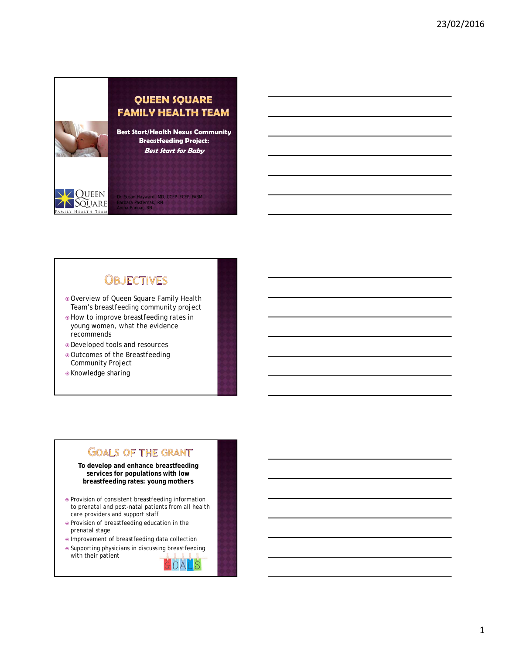**QUEEN SQUARE FAMILY HEALTH TEAM Best Start/Health Nexus Community Breastfeeding Project: Best Start for Baby**

1 Hayward, MD, CCFP, FCFP, FABM

# **OBJECTIVES**

Barbara Pasternak, RN Anina Bonnar, RN

- Overview of Queen Square Family Health Team's breastfeeding community project
- $\bullet$  How to improve breastfeeding rates in young women, what the evidence recommends
- Developed tools and resources
- Outcomes of the Breastfeeding Community Project
- Knowledge sharing

QUEEN SQUARE HEALTH TEAM

# **GOALS OF THE GRANT**

**To develop and enhance breastfeeding services for populations with low breastfeeding rates: young mothers**

- Provision of consistent breastfeeding information to prenatal and post-natal patients from all health care providers and support staff
- Provision of breastfeeding education in the prenatal stage
- Improvement of breastfeeding data collection
- Supporting physicians in discussing breastfeeding with their patientGOALS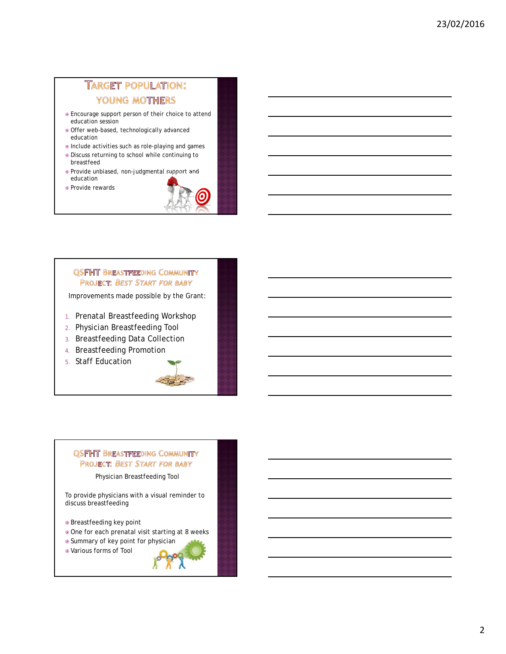# **TARGET POPULATION:** YOUNG MOTHERS

- Encourage support person of their choice to attend education session
- Offer web-based, technologically advanced education
- Include activities such as role-playing and games
- Discuss returning to school while continuing to breastfeed
- Provide unbiased, non-judgmental support and education
- Provide rewards



## **QSFHT BREASTFEEDING COMMUNITY** PROJECT: BEST START FOR BABY

Improvements made possible by the Grant:

- 1. Prenatal Breastfeeding Workshop
- 2. Physician Breastfeeding Tool
- 3. Breastfeeding Data Collection
- 4. Breastfeeding Promotion
- 5. Staff Education



#### **QSFHT BREASTFEEDING COMMUNITY** PROJECT: BEST START FOR BABY

Physician Breastfeeding Tool

To provide physicians with a visual reminder to discuss breastfeeding

- Breastfeeding key point
- One for each prenatal visit starting at 8 weeks
- Summary of key point for physician
- Various forms of Tool

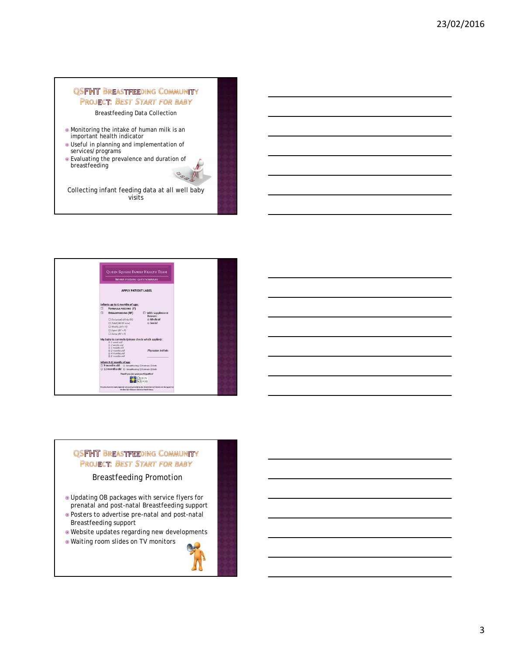## **QSFHT BREASTFEEDING COMMUNITY PROJECT: BEST START FOR BABY**

Breastfeeding Data Collection

- Monitoring the intake of human milk is an important health indicator
- Useful in planning and implementation of services/programs
- Evaluating the prevalence and duration of breastfeeding

Collecting infant feeding data at all well baby visits

Λ  $\n <sup>①</sup>$ 



#### **QSFHT BREASTFEEDING COMMUNITY PROJECT: BEST START FOR BABY**

Breastfeeding Promotion

- Updating OB packages with service flyers for prenatal and post-natal Breastfeeding support
- Posters to advertise pre-natal and post-natal Breastfeeding support
- Website updates regarding new developments
- Waiting room slides on TV monitors

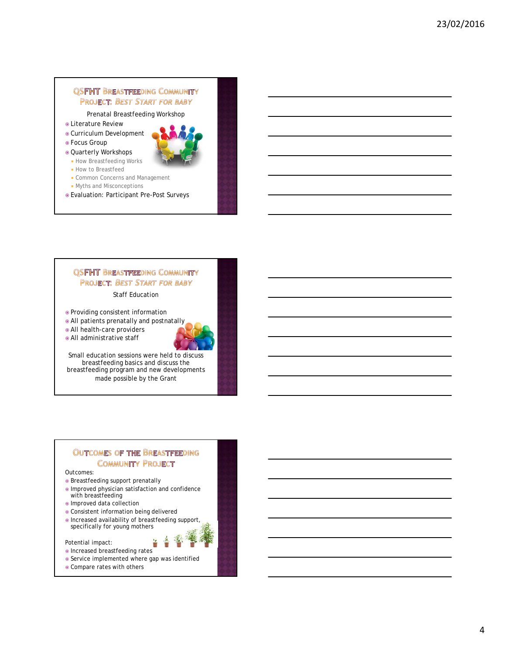## **QSFHT BREASTFEEDING COMMUNITY PROJECT: BEST START FOR BABY**

Prenatal Breastfeeding Workshop

- **.** Literature Review
- Curriculum Development
- Focus Group
- Quarterly Workshops
	- **How Breastfeeding Works**
	- **How to Breastfeed**
	- **Common Concerns and Management**
	- Myths and Misconceptions
- Evaluation: Participant Pre-Post Surveys

#### **QSFHT BREASTFEEDING COMMUNITY PROJECT: BEST START FOR BABY**

Staff Education

- Providing consistent information
- All patients prenatally and postnatally

All health-care providers

All administrative staff



Small education sessions were held to discuss breastfeeding basics and discuss the breastfeeding program and new developments made possible by the Grant

#### **OUTCOMES OF THE BREASTFEEDING COMMUNITY PROJECT**

Outcomes:

- Breastfeeding support prenatally
- Improved physician satisfaction and confidence with breastfeeding
- Improved data collection
- Consistent information being delivered
- $\bullet$  Increased availability of breastfeeding support, specifically for young mothers

Potential impact:

 $\bullet$  Increased breastfeeding rates

- Service implemented where gap was identified
- Compare rates with others